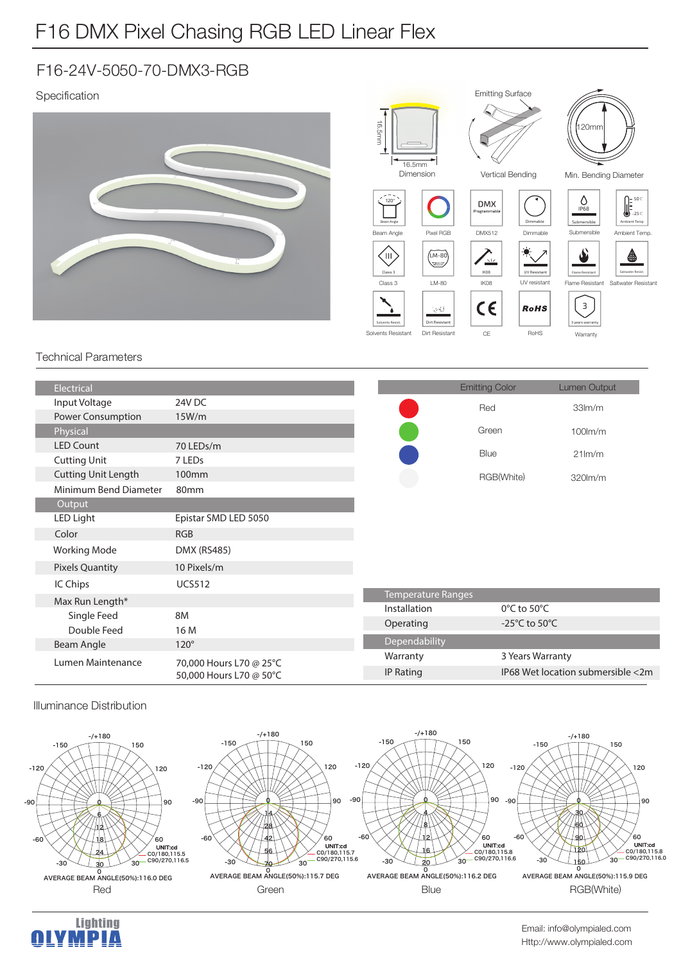# F16 DMX Pixel Chasing RGB LED Linear Flex

### F16-24V-5050-70-DMX3-RGB

### Specification



#### Technical Parameters

| Electrical                 |                                                    |                  | <b>Emitting Color</b>             | <b>Lumen Output</b>               |  |
|----------------------------|----------------------------------------------------|------------------|-----------------------------------|-----------------------------------|--|
| Input Voltage              | 24V DC                                             |                  | Red                               | 33 <sub>lm</sub> /m               |  |
| Power Consumption          | 15W/m                                              |                  |                                   |                                   |  |
| Physical                   |                                                    |                  | Green                             | $100$ m/m                         |  |
| <b>LED Count</b>           | 70 LEDs/m                                          |                  | Blue                              | $21$ lm/m                         |  |
| <b>Cutting Unit</b>        | 7 LED <sub>s</sub>                                 |                  |                                   |                                   |  |
| <b>Cutting Unit Length</b> | 100 <sub>mm</sub>                                  |                  | RGB(White)                        | 320lm/m                           |  |
| Minimum Bend Diameter      | 80mm                                               |                  |                                   |                                   |  |
| Output                     |                                                    |                  |                                   |                                   |  |
| LED Light                  | Epistar SMD LED 5050                               |                  |                                   |                                   |  |
| Color                      | <b>RGB</b>                                         |                  |                                   |                                   |  |
| <b>Working Mode</b>        | <b>DMX (RS485)</b>                                 |                  |                                   |                                   |  |
| <b>Pixels Quantity</b>     | 10 Pixels/m                                        |                  |                                   |                                   |  |
| IC Chips                   | <b>UCS512</b>                                      |                  |                                   |                                   |  |
| Max Run Length*            |                                                    |                  | <b>Temperature Ranges</b>         |                                   |  |
| Single Feed                | <b>8M</b>                                          | Installation     | $0^{\circ}$ C to 50 $^{\circ}$ C  |                                   |  |
| Double Feed                | 16 M                                               | Operating        | -25 $\degree$ C to 50 $\degree$ C |                                   |  |
| Beam Angle                 | $120^\circ$                                        | Dependability    |                                   |                                   |  |
| Lumen Maintenance          | 70,000 Hours L70 @ 25°C<br>50,000 Hours L70 @ 50°C | Warranty         | 3 Years Warranty                  |                                   |  |
|                            |                                                    | <b>IP Rating</b> |                                   | IP68 Wet location submersible <2m |  |
|                            |                                                    |                  |                                   |                                   |  |

#### Illuminance Distribution